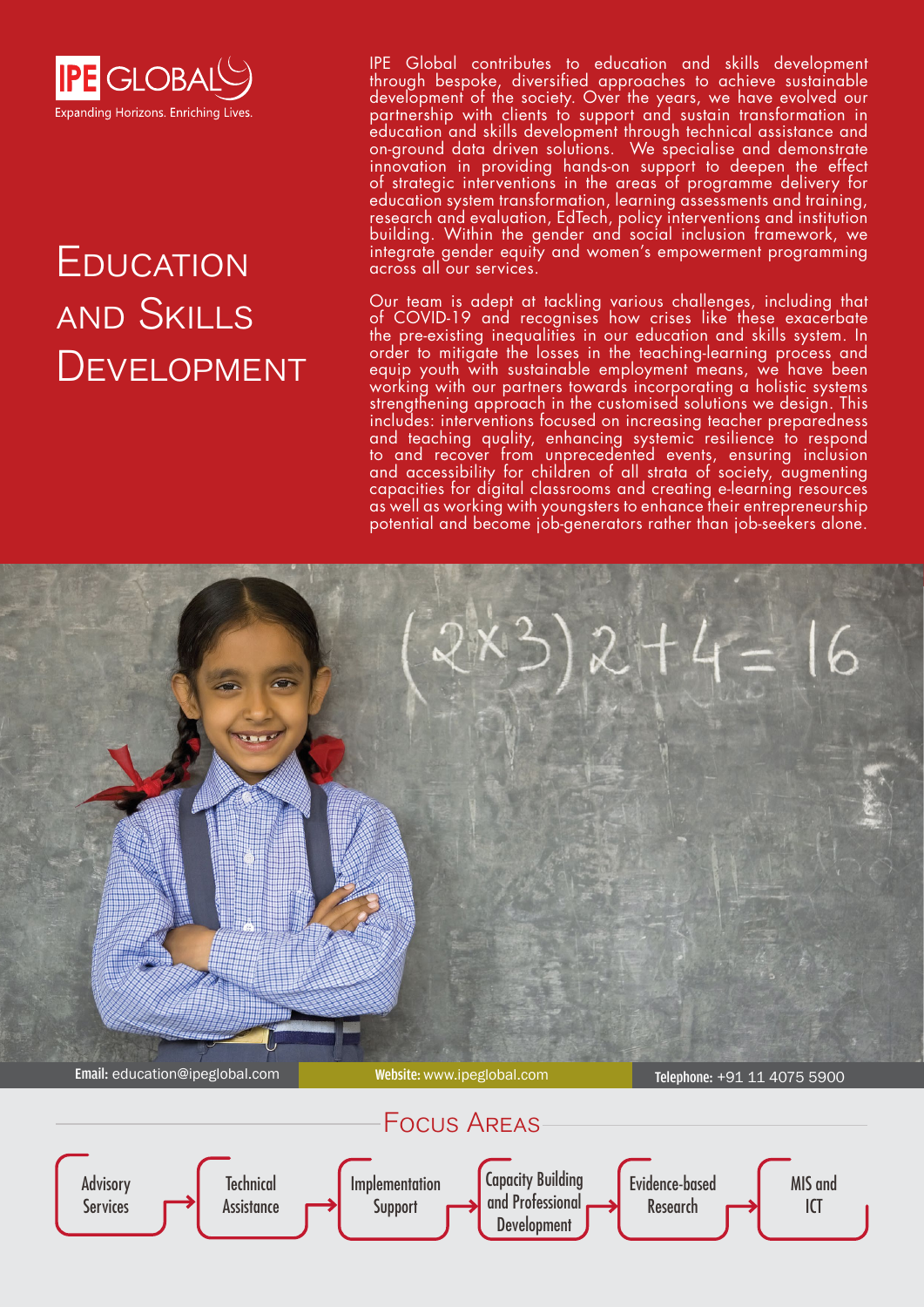

# **EDUCATION** and Skills **DEVELOPMENT**

IPE Global contributes to education and skills development through bespoke, diversified approaches to achieve sustainable development of the society. Over the years, we have evolved our partnership with clients to support and sustain transformation in education and skills development through technical assistance and on-ground data driven solutions. We specialise and demonstrate innovation in providing hands-on support to deepen the effect of strategic interventions in the areas of programme delivery for education system transformation, learning assessments and training, research and evaluation, EdTech, policy interventions and institution building. Within the gender and social inclusion framework, we integrate gender equity and women's empowerment programming across all our services.

Our team is adept at tackling various challenges, including that of COVID-19 and recognises how crises like these exacerbate the pre-existing inequalities in our education and skills system. In order to mitigate the losses in the teaching-learning process and equip youth with sustainable employment means, we have been working with our partners towards incorporating a holistic systems strengthening approach in the customised solutions we design. This includes: interventions focused on increasing teacher preparedness and teaching quality, enhancing systemic resilience to respond to and recover from unprecedented events, ensuring inclusion and accessibility for children of all strata of society, augmenting capacities for digital classrooms and creating e-learning resources as well as working with youngsters to enhance their entrepreneurship potential and become job-generators rather than job-seekers alone.

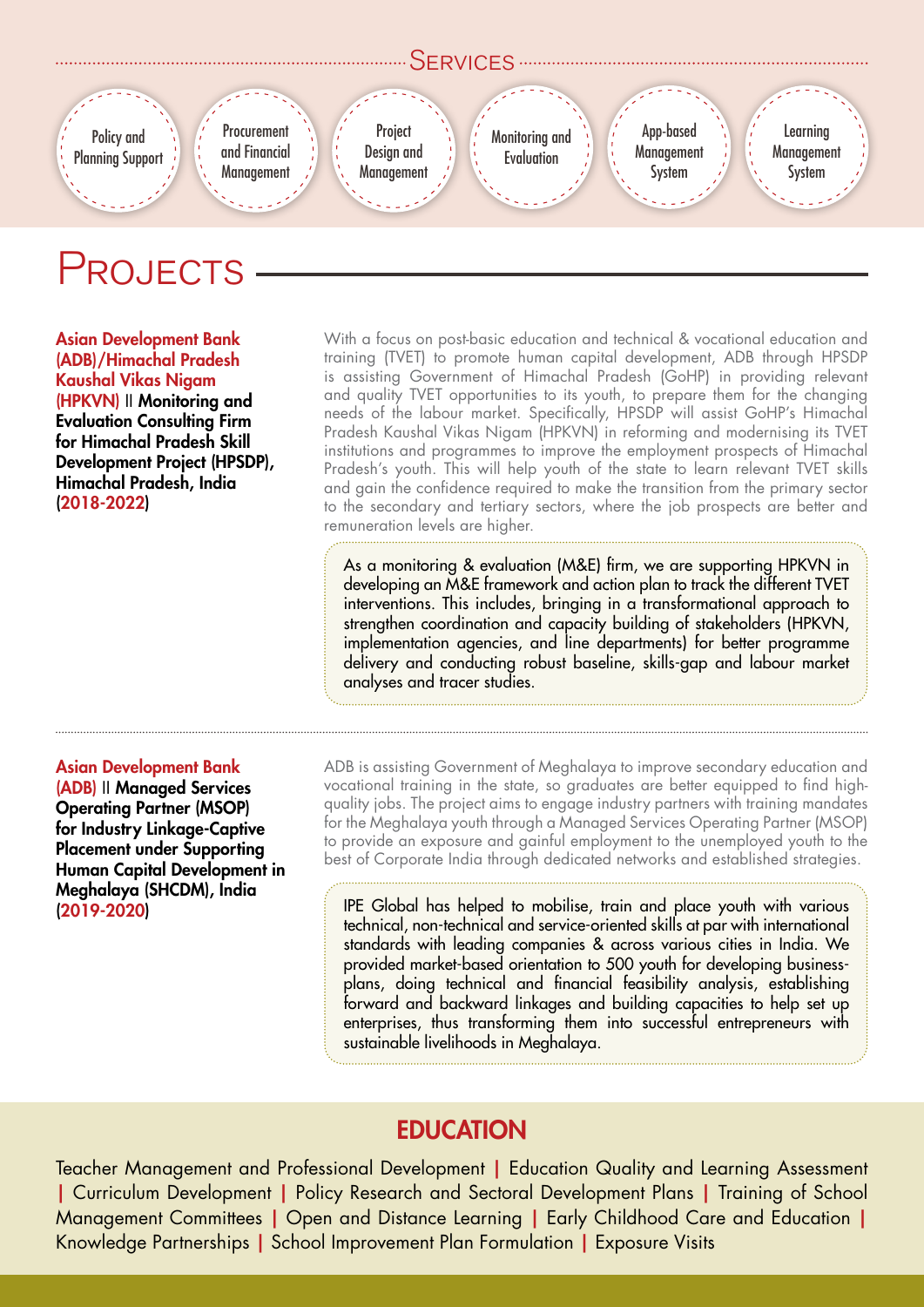

## PROJECTS

Asian Development Bank (ADB)/Himachal Pradesh Kaushal Vikas Nigam (HPKVN) II Monitoring and Evaluation Consulting Firm for Himachal Pradesh Skill Development Project (HPSDP), Himachal Pradesh, India (2018-2022)

With a focus on post-basic education and technical & vocational education and training (TVET) to promote human capital development, ADB through HPSDP is assisting Government of Himachal Pradesh (GoHP) in providing relevant and quality TVET opportunities to its youth, to prepare them for the changing needs of the labour market. Specifically, HPSDP will assist GoHP's Himachal Pradesh Kaushal Vikas Nigam (HPKVN) in reforming and modernising its TVET institutions and programmes to improve the employment prospects of Himachal Pradesh's youth. This will help youth of the state to learn relevant TVET skills and gain the confidence required to make the transition from the primary sector to the secondary and tertiary sectors, where the job prospects are better and remuneration levels are higher.

As a monitoring & evaluation (M&E) firm, we are supporting HPKVN in developing an M&E framework and action plan to track the different TVET interventions. This includes, bringing in a transformational approach to strengthen coordination and capacity building of stakeholders (HPKVN, implementation agencies, and line departments) for better programme delivery and conducting robust baseline, skills-gap and labour market analyses and tracer studies.

#### Asian Development Bank

(ADB) II Managed Services Operating Partner (MSOP) for Industry Linkage-Captive Placement under Supporting Human Capital Development in Meghalaya (SHCDM), India (2019-2020)

ADB is assisting Government of Meghalaya to improve secondary education and vocational training in the state, so graduates are better equipped to find highquality jobs. The project aims to engage industry partners with training mandates for the Meghalaya youth through a Managed Services Operating Partner (MSOP) to provide an exposure and gainful employment to the unemployed youth to the best of Corporate India through dedicated networks and established strategies.

IPE Global has helped to mobilise, train and place youth with various technical, non-technical and service-oriented skills at par with international standards with leading companies & across various cities in India. We provided market-based orientation to 500 youth for developing businessplans, doing technical and financial feasibility analysis, establishing forward and backward linkages and building capacities to help set up enterprises, thus transforming them into successful entrepreneurs with sustainable livelihoods in Meghalaya.

### **EDUCATION**

Teacher Management and Professional Development | Education Quality and Learning Assessment | Curriculum Development | Policy Research and Sectoral Development Plans | Training of School Management Committees | Open and Distance Learning | Early Childhood Care and Education | Knowledge Partnerships | School Improvement Plan Formulation | Exposure Visits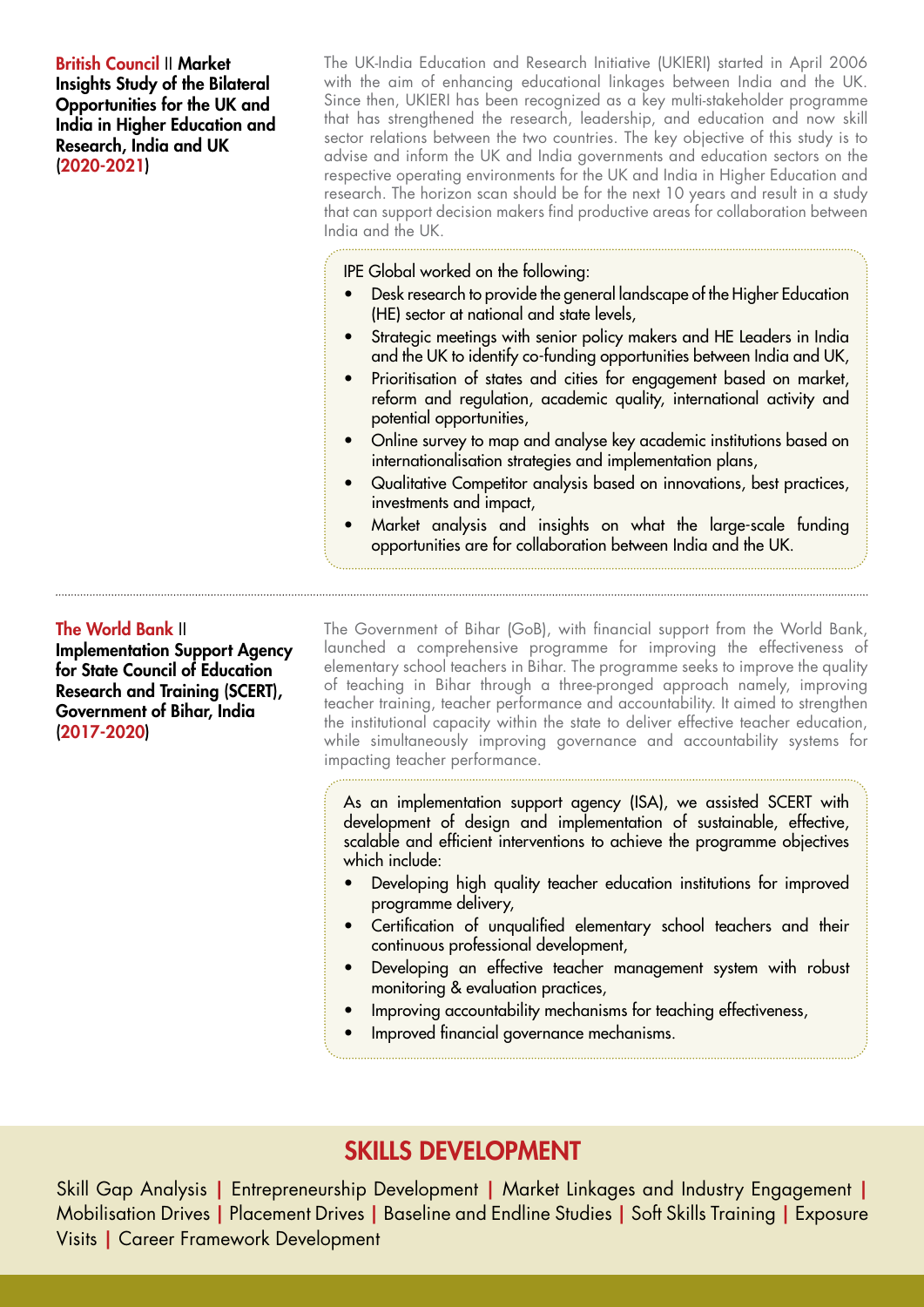British Council II Market Insights Study of the Bilateral Opportunities for the UK and India in Higher Education and Research, India and UK (2020-2021)

The UK-India Education and Research Initiative (UKIERI) started in April 2006 with the aim of enhancing educational linkages between India and the UK. Since then, UKIERI has been recognized as a key multi-stakeholder programme that has strengthened the research, leadership, and education and now skill sector relations between the two countries. The key objective of this study is to advise and inform the UK and India governments and education sectors on the respective operating environments for the UK and India in Higher Education and research. The horizon scan should be for the next 10 years and result in a study that can support decision makers find productive areas for collaboration between India and the UK.

IPE Global worked on the following:

- Desk research to provide the general landscape of the Higher Education (HE) sector at national and state levels,
- Strategic meetings with senior policy makers and HE Leaders in India and the UK to identify co-funding opportunities between India and UK,
- Prioritisation of states and cities for engagement based on market, reform and regulation, academic quality, international activity and potential opportunities,
- Online survey to map and analyse key academic institutions based on internationalisation strategies and implementation plans,
- Qualitative Competitor analysis based on innovations, best practices, investments and impact,
- Market analysis and insights on what the large-scale funding opportunities are for collaboration between India and the UK.

#### The World Bank II

Implementation Support Agency for State Council of Education Research and Training (SCERT), Government of Bihar, India (2017-2020)

The Government of Bihar (GoB), with financial support from the World Bank, launched a comprehensive programme for improving the effectiveness of elementary school teachers in Bihar. The programme seeks to improve the quality of teaching in Bihar through a three-pronged approach namely, improving teacher training, teacher performance and accountability. It aimed to strengthen the institutional capacity within the state to deliver effective teacher education, while simultaneously improving governance and accountability systems for impacting teacher performance.

As an implementation support agency (ISA), we assisted SCERT with development of design and implementation of sustainable, effective, scalable and efficient interventions to achieve the programme objectives which include:

- Developing high quality teacher education institutions for improved programme delivery,
- Certification of unqualified elementary school teachers and their continuous professional development,
- Developing an effective teacher management system with robust monitoring & evaluation practices,
- Improving accountability mechanisms for teaching effectiveness,
- Improved financial governance mechanisms.

### SKILLS DEVELOPMENT

Skill Gap Analysis | Entrepreneurship Development | Market Linkages and Industry Engagement | Mobilisation Drives | Placement Drives | Baseline and Endline Studies | Soft Skills Training | Exposure Visits | Career Framework Development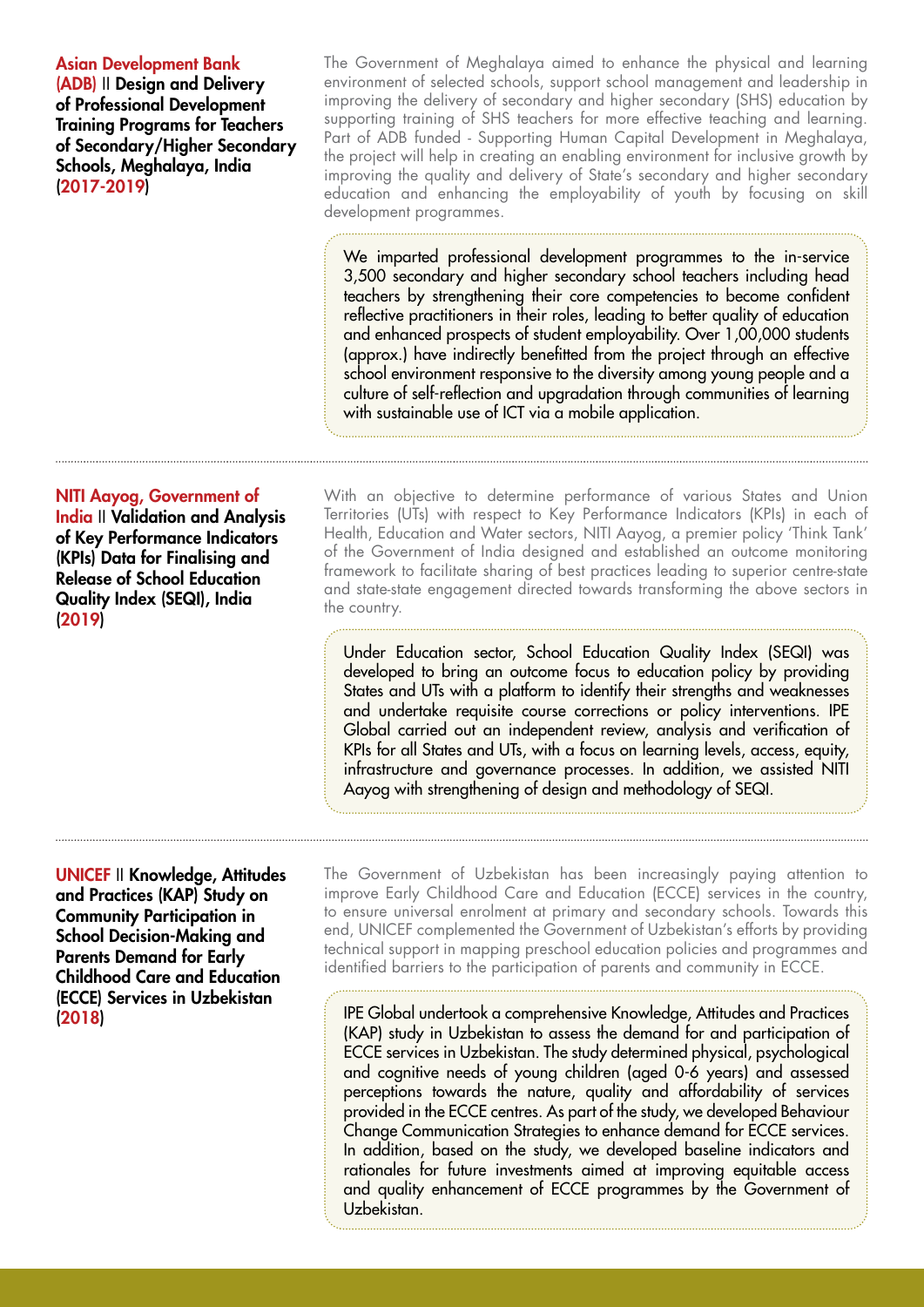#### Asian Development Bank

(ADB) II Design and Delivery of Professional Development Training Programs for Teachers of Secondary/Higher Secondary Schools, Meghalaya, India (2017-2019)

The Government of Meghalaya aimed to enhance the physical and learning environment of selected schools, support school management and leadership in improving the delivery of secondary and higher secondary (SHS) education by supporting training of SHS teachers for more effective teaching and learning. Part of ADB funded - Supporting Human Capital Development in Meghalaya, the project will help in creating an enabling environment for inclusive growth by improving the quality and delivery of State's secondary and higher secondary education and enhancing the employability of youth by focusing on skill development programmes.

We imparted professional development programmes to the in-service 3,500 secondary and higher secondary school teachers including head teachers by strengthening their core competencies to become confident reflective practitioners in their roles, leading to better quality of education and enhanced prospects of student employability. Over 1,00,000 students (approx.) have indirectly benefitted from the project through an effective school environment responsive to the diversity among young people and a culture of self-reflection and upgradation through communities of learning with sustainable use of ICT via a mobile application.

#### NITI Aayog, Government of

India II Validation and Analysis of Key Performance Indicators (KPIs) Data for Finalising and Release of School Education Quality Index (SEQI), India (2019)

With an objective to determine performance of various States and Union Territories (UTs) with respect to Key Performance Indicators (KPIs) in each of Health, Education and Water sectors, NITI Aayog, a premier policy 'Think Tank' of the Government of India designed and established an outcome monitoring framework to facilitate sharing of best practices leading to superior centre-state and state-state engagement directed towards transforming the above sectors in the country.

Under Education sector, School Education Quality Index (SEQI) was developed to bring an outcome focus to education policy by providing States and UTs with a platform to identify their strengths and weaknesses and undertake requisite course corrections or policy interventions. IPE Global carried out an independent review, analysis and verification of KPIs for all States and UTs, with a focus on learning levels, access, equity, infrastructure and governance processes. In addition, we assisted NITI Aayog with strengthening of design and methodology of SEQI.

UNICEF II Knowledge, Attitudes and Practices (KAP) Study on Community Participation in School Decision-Making and Parents Demand for Early Childhood Care and Education (ECCE) Services in Uzbekistan (2018)

The Government of Uzbekistan has been increasingly paying attention to improve Early Childhood Care and Education (ECCE) services in the country, to ensure universal enrolment at primary and secondary schools. Towards this end, UNICEF complemented the Government of Uzbekistan's efforts by providing technical support in mapping preschool education policies and programmes and identified barriers to the participation of parents and community in ECCE.

IPE Global undertook a comprehensive Knowledge, Attitudes and Practices (KAP) study in Uzbekistan to assess the demand for and participation of ECCE services in Uzbekistan. The study determined physical, psychological and cognitive needs of young children (aged 0-6 years) and assessed perceptions towards the nature, quality and affordability of services provided in the ECCE centres. As part of the study, we developed Behaviour Change Communication Strategies to enhance demand for ECCE services. In addition, based on the study, we developed baseline indicators and rationales for future investments aimed at improving equitable access and quality enhancement of ECCE programmes by the Government of Uzbekistan.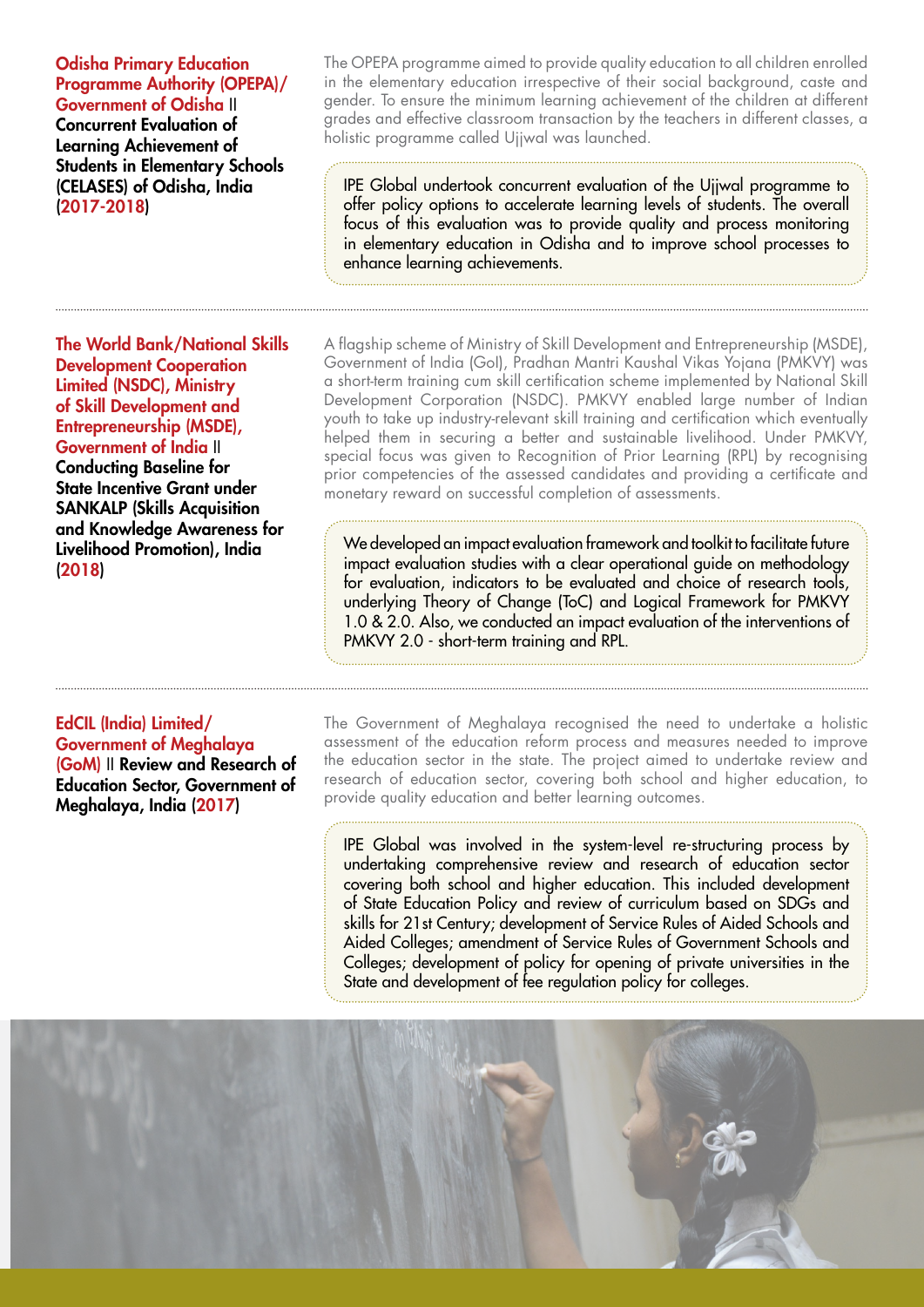Odisha Primary Education Programme Authority (OPEPA)/

Government of Odisha II Concurrent Evaluation of Learning Achievement of Students in Elementary Schools (CELASES) of Odisha, India (2017-2018)

The World Bank/National Skills Development Cooperation Limited (NSDC), Ministry of Skill Development and Entrepreneurship (MSDE), Government of India II Conducting Baseline for State Incentive Grant under SANKALP (Skills Acquisition and Knowledge Awareness for Livelihood Promotion), India (2018)

EdCIL (India) Limited/ Government of Meghalaya (GoM) II Review and Research of Education Sector, Government of Meghalaya, India (2017)

The OPEPA programme aimed to provide quality education to all children enrolled in the elementary education irrespective of their social background, caste and gender. To ensure the minimum learning achievement of the children at different grades and effective classroom transaction by the teachers in different classes, a holistic programme called Ujjwal was launched.

IPE Global undertook concurrent evaluation of the Ujjwal programme to offer policy options to accelerate learning levels of students. The overall focus of this evaluation was to provide quality and process monitoring in elementary education in Odisha and to improve school processes to enhance learning achievements.

A flagship scheme of Ministry of Skill Development and Entrepreneurship (MSDE), Government of India (GoI), Pradhan Mantri Kaushal Vikas Yojana (PMKVY) was a short-term training cum skill certification scheme implemented by National Skill Development Corporation (NSDC). PMKVY enabled large number of Indian youth to take up industry-relevant skill training and certification which eventually helped them in securing a better and sustainable livelihood. Under PMKVY, special focus was given to Recognition of Prior Learning (RPL) by recognising prior competencies of the assessed candidates and providing a certificate and monetary reward on successful completion of assessments.

We developed an impact evaluation framework and toolkit to facilitate future impact evaluation studies with a clear operational guide on methodology for evaluation, indicators to be evaluated and choice of research tools, underlying Theory of Change (ToC) and Logical Framework for PMKVY 1.0 & 2.0. Also, we conducted an impact evaluation of the interventions of PMKVY 2.0 - short-term training and RPL.

The Government of Meghalaya recognised the need to undertake a holistic assessment of the education reform process and measures needed to improve the education sector in the state. The project aimed to undertake review and research of education sector, covering both school and higher education, to provide quality education and better learning outcomes.

IPE Global was involved in the system-level re-structuring process by undertaking comprehensive review and research of education sector covering both school and higher education. This included development of State Education Policy and review of curriculum based on SDGs and skills for 21st Century; development of Service Rules of Aided Schools and Aided Colleges; amendment of Service Rules of Government Schools and Colleges; development of policy for opening of private universities in the State and development of fee regulation policy for colleges.